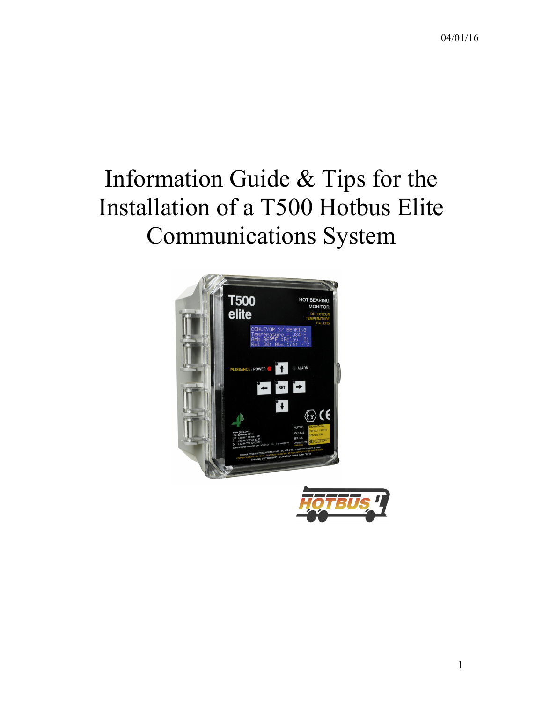# Information Guide & Tips for the Installation of a T500 Hotbus Elite Communications System

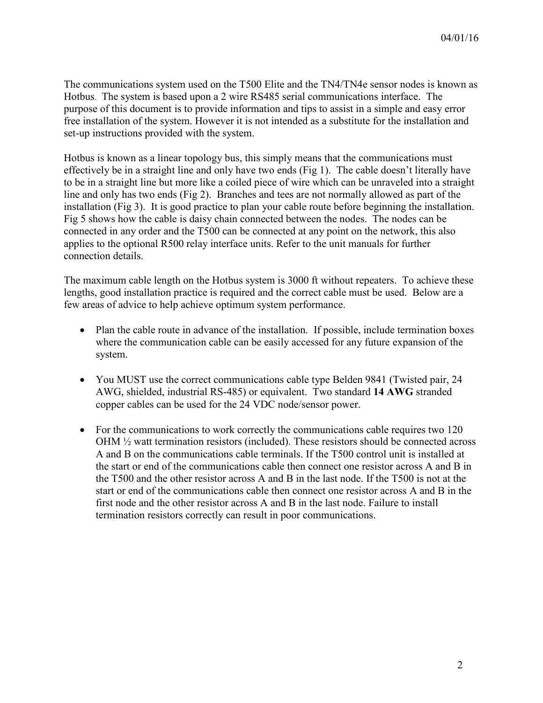The communications system used on the T500 Elite and the TN4/TN4e sensor nodes is known as Hotbus. The system is based upon a 2 wire RS485 serial communications interface. The purpose of this document is to provide information and tips to assist in a simple and easy error free installation of the system. However it is not intended as a substitute for the installation and set-up instructions provided with the system.

Hotbus is known as a linear topology bus, this simply means that the communications must effectively be in a straight line and only have two ends (Fig 1). The cable doesn't literally have to be in a straight line but more like a coiled piece of wire which can be unraveled into a straight line and only has two ends (Fig 2). Branches and tees are not normally allowed as part of the installation (Fig 3). It is good practice to plan your cable route before beginning the installation. Fig 5 shows how the cable is daisy chain connected between the nodes. The nodes can be connected in any order and the T500 can be connected at any point on the network, this also applies to the optional R500 relay interface units. Refer to the unit manuals for further connection details.

The maximum cable length on the Hotbus system is 3000 ft without repeaters. To achieve these lengths, good installation practice is required and the correct cable must be used. Below are a few areas of advice to help achieve optimum system performance.

- Plan the cable route in advance of the installation. If possible, include termination boxes where the communication cable can be easily accessed for any future expansion of the system.
- You MUST use the correct communications cable type Belden 9841 (Twisted pair, 24) AWG, shielded, industrial RS-485) or equivalent. Two standard **14 AWG** stranded copper cables can be used for the 24 VDC node/sensor power.
- For the communications to work correctly the communications cable requires two 120 OHM ½ watt termination resistors (included). These resistors should be connected across A and B on the communications cable terminals. If the T500 control unit is installed at the start or end of the communications cable then connect one resistor across A and B in the T500 and the other resistor across A and B in the last node. If the T500 is not at the start or end of the communications cable then connect one resistor across A and B in the first node and the other resistor across A and B in the last node. Failure to install termination resistors correctly can result in poor communications.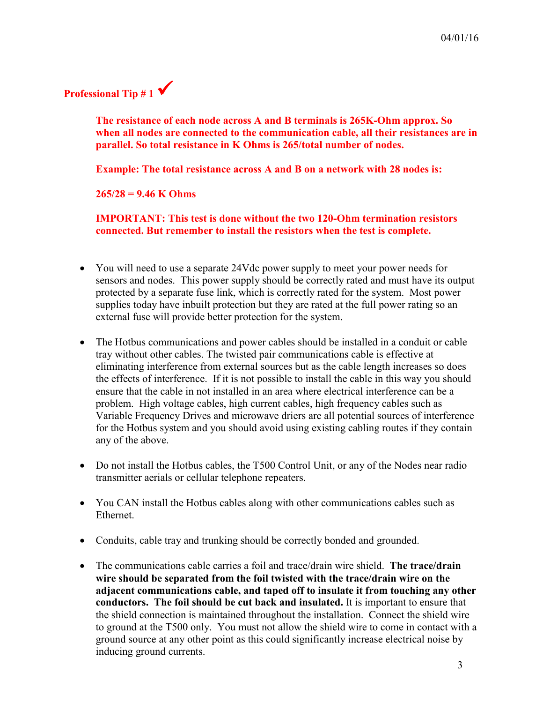

**The resistance of each node across A and B terminals is 265K-Ohm approx. So when all nodes are connected to the communication cable, all their resistances are in parallel. So total resistance in K Ohms is 265/total number of nodes.**

**Example: The total resistance across A and B on a network with 28 nodes is:**

**265/28 = 9.46 K Ohms**

**IMPORTANT: This test is done without the two 120-Ohm termination resistors connected. But remember to install the resistors when the test is complete.**

- You will need to use a separate 24Vdc power supply to meet your power needs for sensors and nodes. This power supply should be correctly rated and must have its output protected by a separate fuse link, which is correctly rated for the system. Most power supplies today have inbuilt protection but they are rated at the full power rating so an external fuse will provide better protection for the system.
- The Hotbus communications and power cables should be installed in a conduit or cable tray without other cables. The twisted pair communications cable is effective at eliminating interference from external sources but as the cable length increases so does the effects of interference. If it is not possible to install the cable in this way you should ensure that the cable in not installed in an area where electrical interference can be a problem. High voltage cables, high current cables, high frequency cables such as Variable Frequency Drives and microwave driers are all potential sources of interference for the Hotbus system and you should avoid using existing cabling routes if they contain any of the above.
- Do not install the Hotbus cables, the T500 Control Unit, or any of the Nodes near radio transmitter aerials or cellular telephone repeaters.
- You CAN install the Hotbus cables along with other communications cables such as Ethernet.
- Conduits, cable tray and trunking should be correctly bonded and grounded.
- The communications cable carries a foil and trace/drain wire shield. **The trace/drain wire should be separated from the foil twisted with the trace/drain wire on the adjacent communications cable, and taped off to insulate it from touching any other conductors. The foil should be cut back and insulated.** It is important to ensure that the shield connection is maintained throughout the installation. Connect the shield wire to ground at the T500 only. You must not allow the shield wire to come in contact with a ground source at any other point as this could significantly increase electrical noise by inducing ground currents.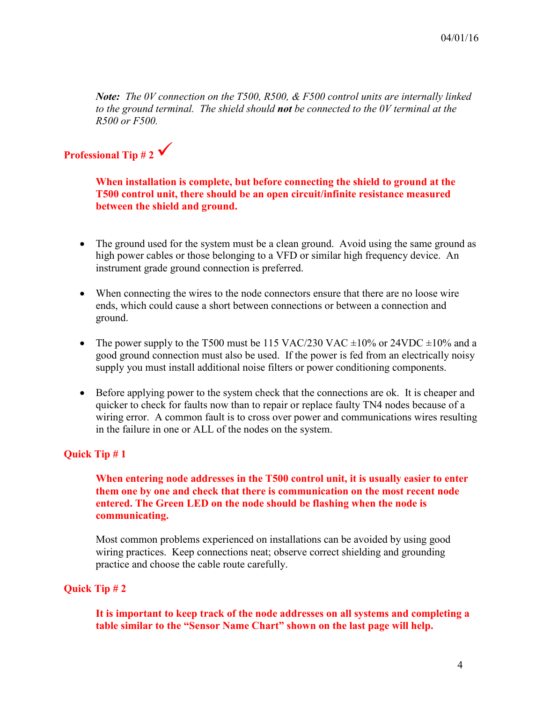*Note: The 0V connection on the T500, R500, & F500 control units are internally linked to the ground terminal. The shield should not be connected to the 0V terminal at the R500 or F500.*

# **Professional Tip # 2**

**When installation is complete, but before connecting the shield to ground at the T500 control unit, there should be an open circuit/infinite resistance measured between the shield and ground.**

- The ground used for the system must be a clean ground. Avoid using the same ground as high power cables or those belonging to a VFD or similar high frequency device. An instrument grade ground connection is preferred.
- When connecting the wires to the node connectors ensure that there are no loose wire ends, which could cause a short between connections or between a connection and ground.
- The power supply to the T500 must be 115 VAC/230 VAC  $\pm 10\%$  or 24VDC  $\pm 10\%$  and a good ground connection must also be used. If the power is fed from an electrically noisy supply you must install additional noise filters or power conditioning components.
- Before applying power to the system check that the connections are ok. It is cheaper and quicker to check for faults now than to repair or replace faulty TN4 nodes because of a wiring error. A common fault is to cross over power and communications wires resulting in the failure in one or ALL of the nodes on the system.

### **Quick Tip # 1**

## **When entering node addresses in the T500 control unit, it is usually easier to enter them one by one and check that there is communication on the most recent node entered. The Green LED on the node should be flashing when the node is communicating.**

Most common problems experienced on installations can be avoided by using good wiring practices. Keep connections neat; observe correct shielding and grounding practice and choose the cable route carefully.

### **Quick Tip # 2**

**It is important to keep track of the node addresses on all systems and completing a table similar to the "Sensor Name Chart" shown on the last page will help.**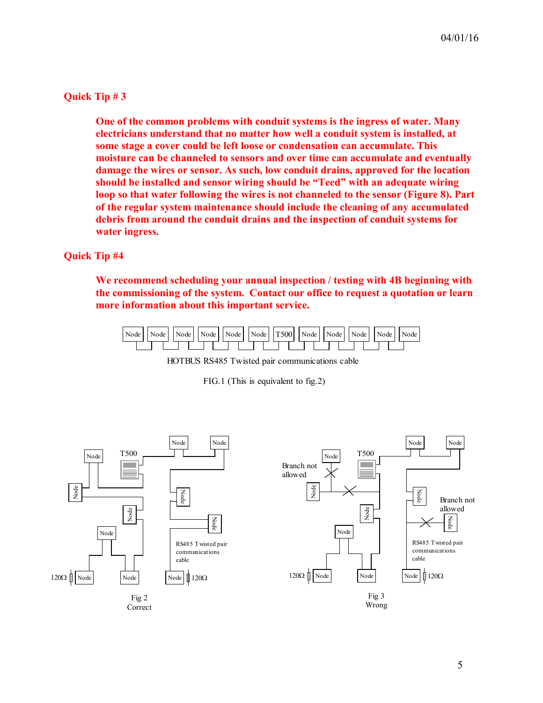### **Quick Tip # 3**

**One of the common problems with conduit systems is the ingress of water. Many electricians understand that no matter how well a conduit system is installed, at some stage a cover could be left loose or condensation can accumulate. This moisture can be channeled to sensors and over time can accumulate and eventually damage the wires or sensor. As such, low conduit drains, approved for the location should be installed and sensor wiring should be "Teed" with an adequate wiring loop so that water following the wires is not channeled to the sensor (Figure 8). Part of the regular system maintenance should include the cleaning of any accumulated debris from around the conduit drains and the inspection of conduit systems for water ingress.** 

### **Quick Tip #4**

**We recommend scheduling your annual inspection / testing with 4B beginning with the commissioning of the system. Contact our office to request a quotation or learn more information about this important service.**



HOTBUS RS485 Twisted pair communications cable

FIG.1 (This is equivalent to fig.2)



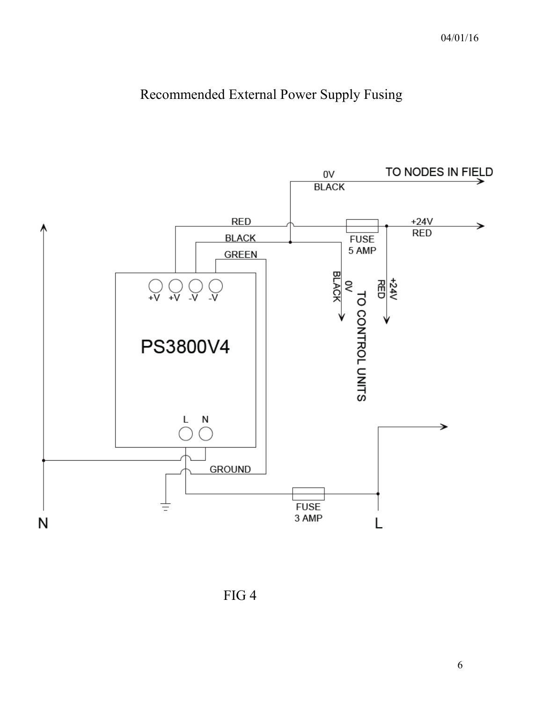# Recommended External Power Supply Fusing



FIG 4

6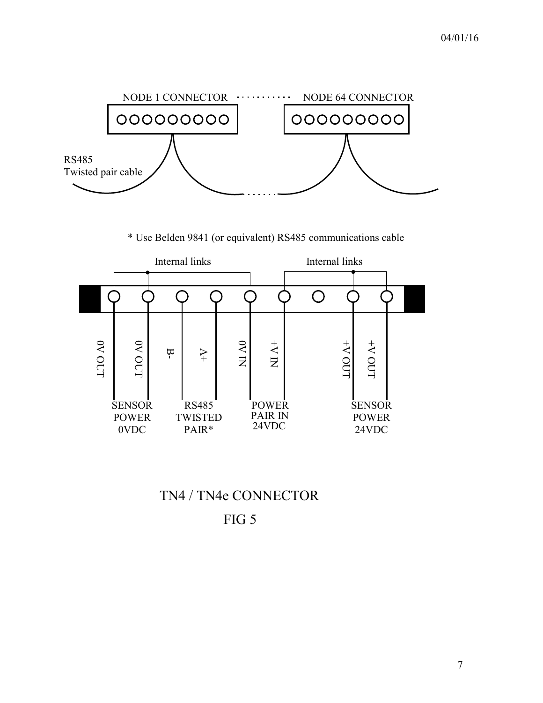

\* Use Belden 9841 (or equivalent) RS485 communications cable



TN4 / TN4e CONNECTOR

FIG 5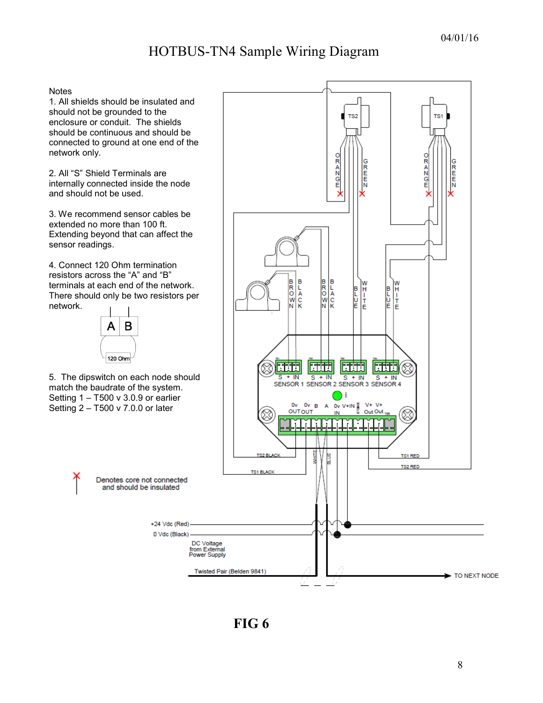# HOTBUS-TN4 Sample Wiring Diagram

#### **Notes**

1. All shields should be insulated and should not be grounded to the enclosure or conduit. The shields should be continuous and should be connected to ground at one end of the network only.

2. All "S" Shield Terminals are internally connected inside the node and should not be used.

3. We recommend sensor cables be extended no more than 100 ft. Extending beyond that can affect the sensor readings.

4. Connect 120 Ohm termination resistors across the "A" and "B" terminals at each end of the network. There should only be two resistors per network.



5. The dipswitch on each node should match the baudrate of the system. Setting 1 – T500 v 3.0.9 or earlier Setting 2 – T500 v 7.0.0 or later



**FIG 6**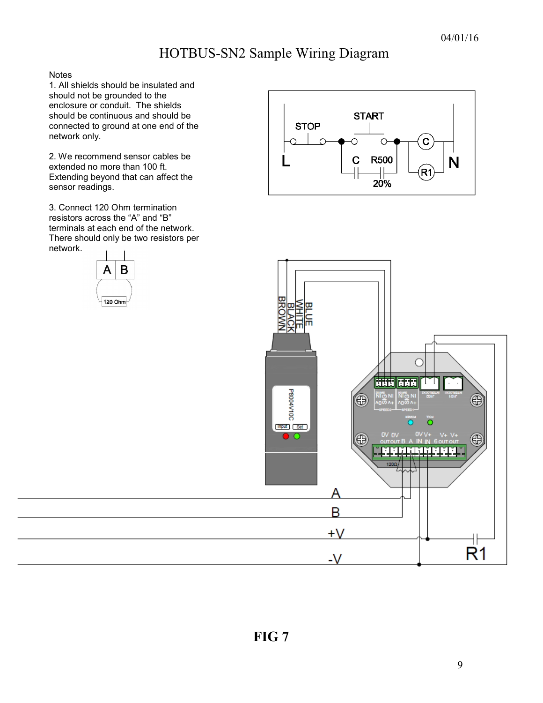# HOTBUS-SN2 Sample Wiring Diagram

**Notes** 

1. All shields should be insulated and should not be grounded to the enclosure or conduit. The shields should be continuous and should be connected to ground at one end of the network only.

2. We recommend sensor cables be extended no more than 100 ft. Extending beyond that can affect the sensor readings.

3. Connect 120 Ohm termination resistors across the "A" and "B" terminals at each end of the network. There should only be two resistors per network.





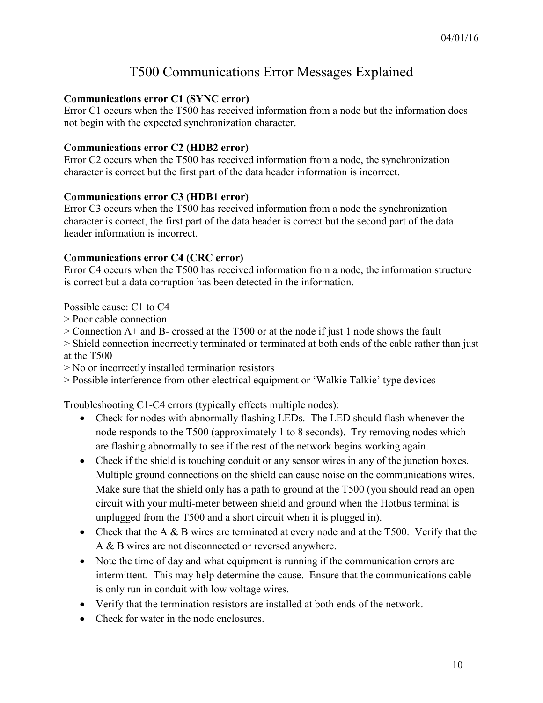# T500 Communications Error Messages Explained

# **Communications error C1 (SYNC error)**

Error C1 occurs when the T500 has received information from a node but the information does not begin with the expected synchronization character.

# **Communications error C2 (HDB2 error)**

Error C2 occurs when the T500 has received information from a node, the synchronization character is correct but the first part of the data header information is incorrect.

### **Communications error C3 (HDB1 error)**

Error C3 occurs when the T500 has received information from a node the synchronization character is correct, the first part of the data header is correct but the second part of the data header information is incorrect.

# **Communications error C4 (CRC error)**

Error C4 occurs when the T500 has received information from a node, the information structure is correct but a data corruption has been detected in the information.

Possible cause: C1 to C4

- > Poor cable connection
- > Connection A+ and B- crossed at the T500 or at the node if just 1 node shows the fault
- > Shield connection incorrectly terminated or terminated at both ends of the cable rather than just at the T500

> No or incorrectly installed termination resistors

> Possible interference from other electrical equipment or 'Walkie Talkie' type devices

Troubleshooting C1-C4 errors (typically effects multiple nodes):

- Check for nodes with abnormally flashing LEDs. The LED should flash whenever the node responds to the T500 (approximately 1 to 8 seconds). Try removing nodes which are flashing abnormally to see if the rest of the network begins working again.
- Check if the shield is touching conduit or any sensor wires in any of the junction boxes. Multiple ground connections on the shield can cause noise on the communications wires. Make sure that the shield only has a path to ground at the T500 (you should read an open circuit with your multi-meter between shield and ground when the Hotbus terminal is unplugged from the T500 and a short circuit when it is plugged in).
- Check that the A & B wires are terminated at every node and at the T500. Verify that the A & B wires are not disconnected or reversed anywhere.
- Note the time of day and what equipment is running if the communication errors are intermittent. This may help determine the cause. Ensure that the communications cable is only run in conduit with low voltage wires.
- Verify that the termination resistors are installed at both ends of the network.
- Check for water in the node enclosures.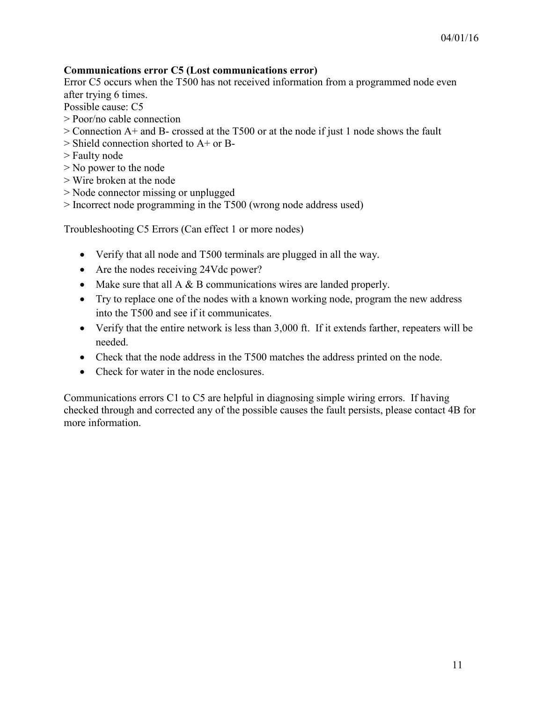# **Communications error C5 (Lost communications error)**

Error C5 occurs when the T500 has not received information from a programmed node even after trying 6 times.

Possible cause: C5

- > Poor/no cable connection
- > Connection A+ and B- crossed at the T500 or at the node if just 1 node shows the fault
- > Shield connection shorted to A+ or B-
- > Faulty node
- > No power to the node
- > Wire broken at the node
- > Node connector missing or unplugged
- > Incorrect node programming in the T500 (wrong node address used)

Troubleshooting C5 Errors (Can effect 1 or more nodes)

- Verify that all node and T500 terminals are plugged in all the way.
- Are the nodes receiving 24Vdc power?
- Make sure that all  $A \& B$  communications wires are landed properly.
- Try to replace one of the nodes with a known working node, program the new address into the T500 and see if it communicates.
- Verify that the entire network is less than 3,000 ft. If it extends farther, repeaters will be needed.
- Check that the node address in the T500 matches the address printed on the node.
- Check for water in the node enclosures.

Communications errors C1 to C5 are helpful in diagnosing simple wiring errors. If having checked through and corrected any of the possible causes the fault persists, please contact 4B for more information.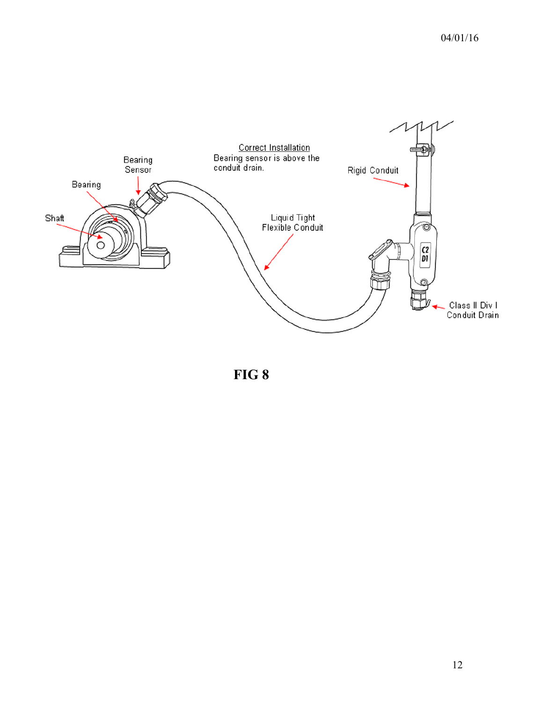

**FIG 8**